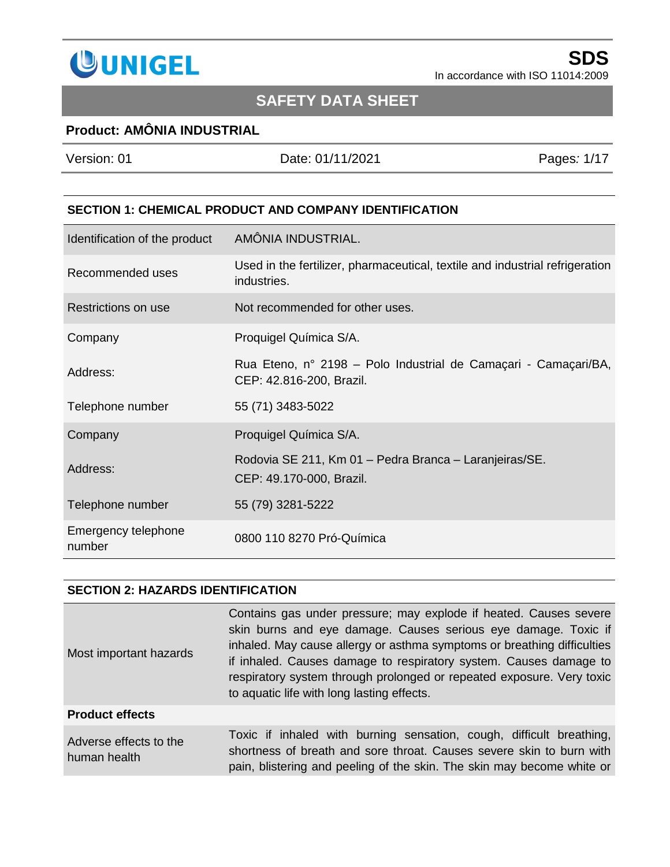

# **SAFETY DATA SHEET**

### **Product: AMÔNIA INDUSTRIAL**

| Version: 01                                                   | Date: 01/11/2021  | Pages: 1/17 |
|---------------------------------------------------------------|-------------------|-------------|
|                                                               |                   |             |
| <b>SECTION 1: CHEMICAL PRODUCT AND COMPANY IDENTIFICATION</b> |                   |             |
| Identification of the product                                 | AMÔNIA INDHSTRIAL |             |

| Identification of the product | AMÓNIA INDUSTRIAL.                                                                          |
|-------------------------------|---------------------------------------------------------------------------------------------|
| Recommended uses              | Used in the fertilizer, pharmaceutical, textile and industrial refrigeration<br>industries. |
| Restrictions on use           | Not recommended for other uses.                                                             |
| Company                       | Proquigel Química S/A.                                                                      |
| Address:                      | Rua Eteno, nº 2198 – Polo Industrial de Camaçari - Camaçari/BA,<br>CEP: 42.816-200, Brazil. |
| Telephone number              | 55 (71) 3483-5022                                                                           |
| Company                       | Proquigel Química S/A.                                                                      |
| Address:                      | Rodovia SE 211, Km 01 - Pedra Branca - Laranjeiras/SE.<br>CEP: 49.170-000, Brazil.          |
| Telephone number              | 55 (79) 3281-5222                                                                           |
| Emergency telephone<br>number | 0800 110 8270 Pró-Química                                                                   |

#### **SECTION 2: HAZARDS IDENTIFICATION**

| Most important hazards                 | Contains gas under pressure; may explode if heated. Causes severe<br>skin burns and eye damage. Causes serious eye damage. Toxic if<br>inhaled. May cause allergy or asthma symptoms or breathing difficulties<br>if inhaled. Causes damage to respiratory system. Causes damage to<br>respiratory system through prolonged or repeated exposure. Very toxic<br>to aquatic life with long lasting effects. |
|----------------------------------------|------------------------------------------------------------------------------------------------------------------------------------------------------------------------------------------------------------------------------------------------------------------------------------------------------------------------------------------------------------------------------------------------------------|
| <b>Product effects</b>                 |                                                                                                                                                                                                                                                                                                                                                                                                            |
| Adverse effects to the<br>human health | Toxic if inhaled with burning sensation, cough, difficult breathing,<br>shortness of breath and sore throat. Causes severe skin to burn with<br>pain, blistering and peeling of the skin. The skin may become white or                                                                                                                                                                                     |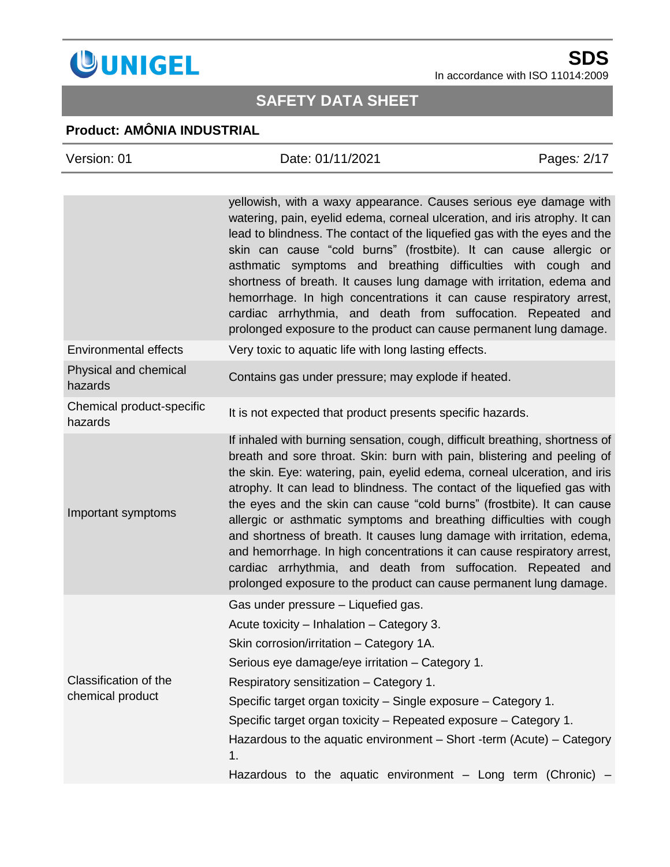

# **SAFETY DATA SHEET**

### **Product: AMÔNIA INDUSTRIAL**

| Version: 01                               | Date: 01/11/2021                                                                                                                                                                                                                                                                                                                                                                                                                                                                                                                                                                                                                                                                                                                                             | Pages: 2/17 |
|-------------------------------------------|--------------------------------------------------------------------------------------------------------------------------------------------------------------------------------------------------------------------------------------------------------------------------------------------------------------------------------------------------------------------------------------------------------------------------------------------------------------------------------------------------------------------------------------------------------------------------------------------------------------------------------------------------------------------------------------------------------------------------------------------------------------|-------------|
|                                           | yellowish, with a waxy appearance. Causes serious eye damage with<br>watering, pain, eyelid edema, corneal ulceration, and iris atrophy. It can<br>lead to blindness. The contact of the liquefied gas with the eyes and the<br>skin can cause "cold burns" (frostbite). It can cause allergic or<br>asthmatic symptoms and breathing difficulties with cough and<br>shortness of breath. It causes lung damage with irritation, edema and                                                                                                                                                                                                                                                                                                                   |             |
|                                           | hemorrhage. In high concentrations it can cause respiratory arrest,<br>cardiac arrhythmia, and death from suffocation. Repeated and<br>prolonged exposure to the product can cause permanent lung damage.                                                                                                                                                                                                                                                                                                                                                                                                                                                                                                                                                    |             |
| <b>Environmental effects</b>              | Very toxic to aquatic life with long lasting effects.                                                                                                                                                                                                                                                                                                                                                                                                                                                                                                                                                                                                                                                                                                        |             |
| Physical and chemical<br>hazards          | Contains gas under pressure; may explode if heated.                                                                                                                                                                                                                                                                                                                                                                                                                                                                                                                                                                                                                                                                                                          |             |
| Chemical product-specific<br>hazards      | It is not expected that product presents specific hazards.                                                                                                                                                                                                                                                                                                                                                                                                                                                                                                                                                                                                                                                                                                   |             |
| Important symptoms                        | If inhaled with burning sensation, cough, difficult breathing, shortness of<br>breath and sore throat. Skin: burn with pain, blistering and peeling of<br>the skin. Eye: watering, pain, eyelid edema, corneal ulceration, and iris<br>atrophy. It can lead to blindness. The contact of the liquefied gas with<br>the eyes and the skin can cause "cold burns" (frostbite). It can cause<br>allergic or asthmatic symptoms and breathing difficulties with cough<br>and shortness of breath. It causes lung damage with irritation, edema,<br>and hemorrhage. In high concentrations it can cause respiratory arrest,<br>cardiac arrhythmia, and death from suffocation. Repeated and<br>prolonged exposure to the product can cause permanent lung damage. |             |
| Classification of the<br>chemical product | Gas under pressure - Liquefied gas.<br>Acute toxicity - Inhalation - Category 3.<br>Skin corrosion/irritation - Category 1A.<br>Serious eye damage/eye irritation – Category 1.<br>Respiratory sensitization - Category 1.<br>Specific target organ toxicity – Single exposure – Category 1.<br>Specific target organ toxicity – Repeated exposure – Category 1.<br>Hazardous to the aquatic environment $-$ Short -term (Acute) $-$ Category<br>1.<br>Hazardous to the aquatic environment $-$ Long term (Chronic) $-$                                                                                                                                                                                                                                      |             |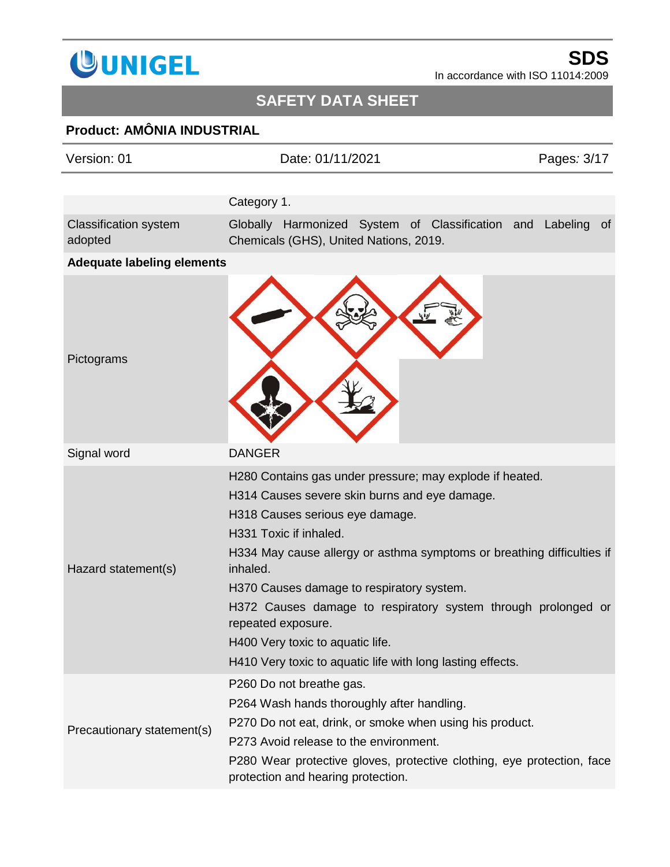

# **SAFETY DATA SHEET**

## **Product: AMÔNIA INDUSTRIAL**

| Version: 01                             | Date: 01/11/2021                                                                                             | Pages: 3/17 |
|-----------------------------------------|--------------------------------------------------------------------------------------------------------------|-------------|
|                                         |                                                                                                              |             |
|                                         | Category 1.                                                                                                  |             |
| <b>Classification system</b><br>adopted | Globally Harmonized System of Classification and Labeling<br>Chemicals (GHS), United Nations, 2019.          | 0f          |
| <b>Adequate labeling elements</b>       |                                                                                                              |             |
| Pictograms                              |                                                                                                              |             |
| Signal word                             | <b>DANGER</b>                                                                                                |             |
|                                         | H280 Contains gas under pressure; may explode if heated.                                                     |             |
|                                         | H314 Causes severe skin burns and eye damage.                                                                |             |
|                                         | H318 Causes serious eye damage.                                                                              |             |
|                                         | H331 Toxic if inhaled.                                                                                       |             |
| Hazard statement(s)                     | H334 May cause allergy or asthma symptoms or breathing difficulties if<br>inhaled.                           |             |
|                                         | H370 Causes damage to respiratory system.                                                                    |             |
|                                         | H372 Causes damage to respiratory system through prolonged or<br>repeated exposure.                          |             |
|                                         | H400 Very toxic to aquatic life.                                                                             |             |
|                                         | H410 Very toxic to aquatic life with long lasting effects.                                                   |             |
| Precautionary statement(s)              | P260 Do not breathe gas.                                                                                     |             |
|                                         | P264 Wash hands thoroughly after handling.                                                                   |             |
|                                         | P270 Do not eat, drink, or smoke when using his product.                                                     |             |
|                                         | P273 Avoid release to the environment.                                                                       |             |
|                                         | P280 Wear protective gloves, protective clothing, eye protection, face<br>protection and hearing protection. |             |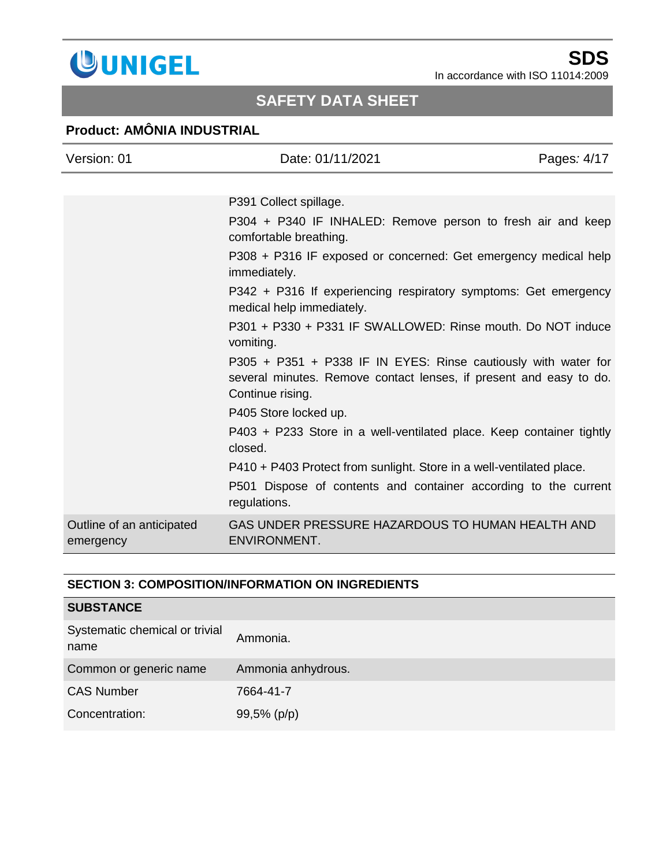

## **Product: AMÔNIA INDUSTRIAL**

| Version: 01                            | Date: 01/11/2021                                                                                                                                         | Pages: 4/17 |
|----------------------------------------|----------------------------------------------------------------------------------------------------------------------------------------------------------|-------------|
|                                        |                                                                                                                                                          |             |
|                                        | P391 Collect spillage.                                                                                                                                   |             |
|                                        | P304 + P340 IF INHALED: Remove person to fresh air and keep<br>comfortable breathing.                                                                    |             |
|                                        | P308 + P316 IF exposed or concerned: Get emergency medical help<br>immediately.                                                                          |             |
|                                        | P342 + P316 If experiencing respiratory symptoms: Get emergency<br>medical help immediately.                                                             |             |
|                                        | P301 + P330 + P331 IF SWALLOWED: Rinse mouth. Do NOT induce<br>vomiting.                                                                                 |             |
|                                        | P305 + P351 + P338 IF IN EYES: Rinse cautiously with water for<br>several minutes. Remove contact lenses, if present and easy to do.<br>Continue rising. |             |
|                                        | P405 Store locked up.                                                                                                                                    |             |
|                                        | P403 + P233 Store in a well-ventilated place. Keep container tightly<br>closed.                                                                          |             |
|                                        | P410 + P403 Protect from sunlight. Store in a well-ventilated place.                                                                                     |             |
|                                        | P501 Dispose of contents and container according to the current<br>regulations.                                                                          |             |
| Outline of an anticipated<br>emergency | GAS UNDER PRESSURE HAZARDOUS TO HUMAN HEALTH AND<br><b>ENVIRONMENT.</b>                                                                                  |             |

### **SECTION 3: COMPOSITION/INFORMATION ON INGREDIENTS**

| <b>SUBSTANCE</b>                       |                    |
|----------------------------------------|--------------------|
| Systematic chemical or trivial<br>name | Ammonia.           |
| Common or generic name                 | Ammonia anhydrous. |
| <b>CAS Number</b>                      | 7664-41-7          |
| Concentration:                         | 99,5% (p/p)        |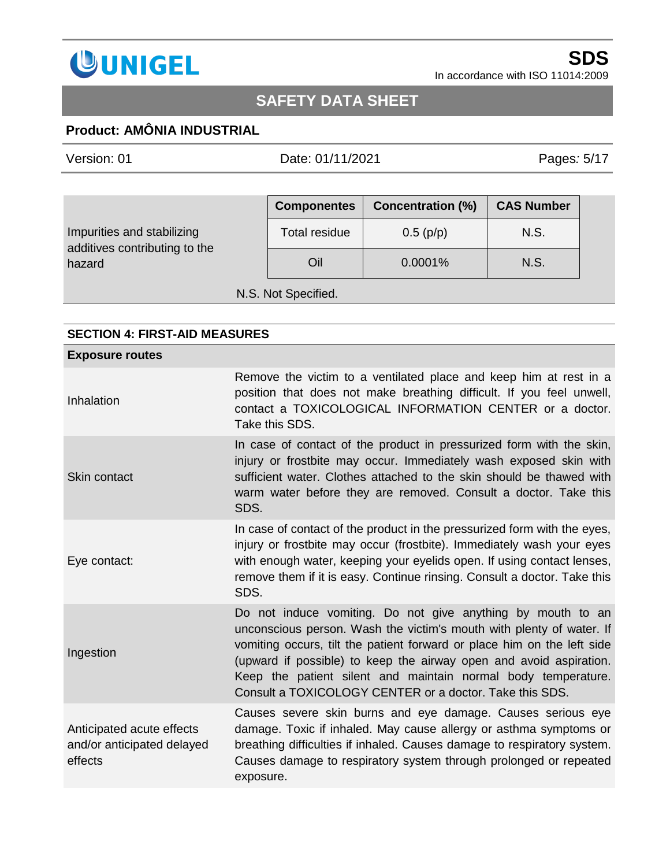

## **Product: AMÔNIA INDUSTRIAL**

Version: 01 Date: 01/11/2021 Pages*:* 5/17

|                                                             | <b>Componentes</b>   | <b>Concentration (%)</b> | <b>CAS Number</b> |
|-------------------------------------------------------------|----------------------|--------------------------|-------------------|
| Impurities and stabilizing<br>additives contributing to the | <b>Total residue</b> | 0.5(p/p)                 | N.S.              |
| hazard                                                      | Oil                  | 0.0001%                  | N.S.              |
| N.S. Not Specified.                                         |                      |                          |                   |

#### **SECTION 4: FIRST-AID MEASURES**

| <b>Exposure routes</b>                                             |                                                                                                                                                                                                                                                                                                                                                                                                                  |
|--------------------------------------------------------------------|------------------------------------------------------------------------------------------------------------------------------------------------------------------------------------------------------------------------------------------------------------------------------------------------------------------------------------------------------------------------------------------------------------------|
| Inhalation                                                         | Remove the victim to a ventilated place and keep him at rest in a<br>position that does not make breathing difficult. If you feel unwell,<br>contact a TOXICOLOGICAL INFORMATION CENTER or a doctor.<br>Take this SDS.                                                                                                                                                                                           |
| Skin contact                                                       | In case of contact of the product in pressurized form with the skin,<br>injury or frostbite may occur. Immediately wash exposed skin with<br>sufficient water. Clothes attached to the skin should be thawed with<br>warm water before they are removed. Consult a doctor. Take this<br>SDS.                                                                                                                     |
| Eye contact:                                                       | In case of contact of the product in the pressurized form with the eyes,<br>injury or frostbite may occur (frostbite). Immediately wash your eyes<br>with enough water, keeping your eyelids open. If using contact lenses,<br>remove them if it is easy. Continue rinsing. Consult a doctor. Take this<br>SDS.                                                                                                  |
| Ingestion                                                          | Do not induce vomiting. Do not give anything by mouth to an<br>unconscious person. Wash the victim's mouth with plenty of water. If<br>vomiting occurs, tilt the patient forward or place him on the left side<br>(upward if possible) to keep the airway open and avoid aspiration.<br>Keep the patient silent and maintain normal body temperature.<br>Consult a TOXICOLOGY CENTER or a doctor. Take this SDS. |
| Anticipated acute effects<br>and/or anticipated delayed<br>effects | Causes severe skin burns and eye damage. Causes serious eye<br>damage. Toxic if inhaled. May cause allergy or asthma symptoms or<br>breathing difficulties if inhaled. Causes damage to respiratory system.<br>Causes damage to respiratory system through prolonged or repeated<br>exposure.                                                                                                                    |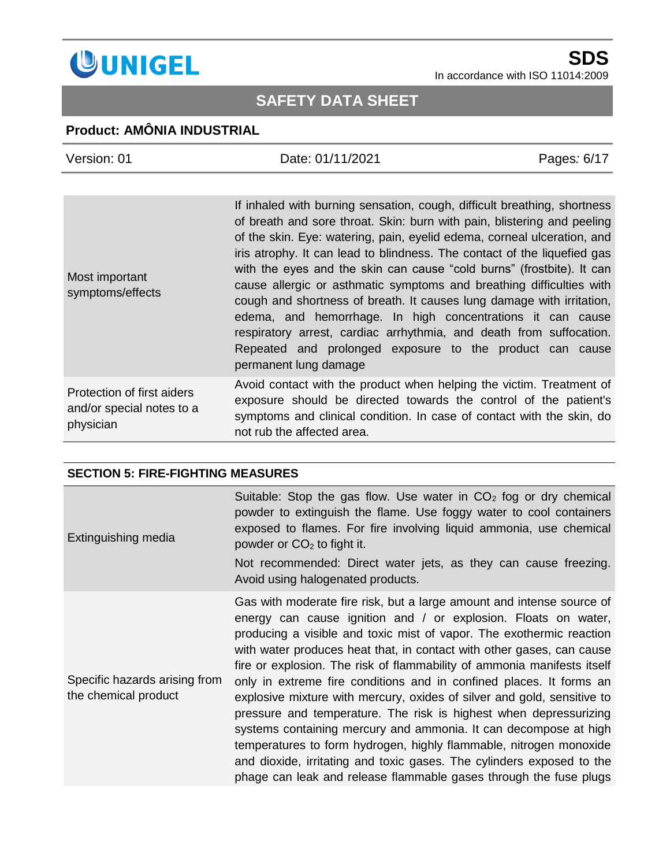

## **SAFETY DATA SHEET**

### **Product: AMÔNIA INDUSTRIAL**

| Version: 01                                                          | Date: 01/11/2021                                                                                                                                                                                                                                                                                                                                                                                                                                                                                                                                                                                                                                                                                                                                               | Pages: 6/17 |
|----------------------------------------------------------------------|----------------------------------------------------------------------------------------------------------------------------------------------------------------------------------------------------------------------------------------------------------------------------------------------------------------------------------------------------------------------------------------------------------------------------------------------------------------------------------------------------------------------------------------------------------------------------------------------------------------------------------------------------------------------------------------------------------------------------------------------------------------|-------------|
|                                                                      |                                                                                                                                                                                                                                                                                                                                                                                                                                                                                                                                                                                                                                                                                                                                                                |             |
| Most important<br>symptoms/effects                                   | If inhaled with burning sensation, cough, difficult breathing, shortness<br>of breath and sore throat. Skin: burn with pain, blistering and peeling<br>of the skin. Eye: watering, pain, eyelid edema, corneal ulceration, and<br>iris atrophy. It can lead to blindness. The contact of the liquefied gas<br>with the eyes and the skin can cause "cold burns" (frostbite). It can<br>cause allergic or asthmatic symptoms and breathing difficulties with<br>cough and shortness of breath. It causes lung damage with irritation,<br>edema, and hemorrhage. In high concentrations it can cause<br>respiratory arrest, cardiac arrhythmia, and death from suffocation.<br>Repeated and prolonged exposure to the product can cause<br>permanent lung damage |             |
| Protection of first aiders<br>and/or special notes to a<br>physician | Avoid contact with the product when helping the victim. Treatment of<br>exposure should be directed towards the control of the patient's<br>symptoms and clinical condition. In case of contact with the skin, do<br>not rub the affected area.                                                                                                                                                                                                                                                                                                                                                                                                                                                                                                                |             |

#### **SECTION 5: FIRE-FIGHTING MEASURES**

| Extinguishing media                                   | Suitable: Stop the gas flow. Use water in $CO2$ fog or dry chemical<br>powder to extinguish the flame. Use foggy water to cool containers<br>exposed to flames. For fire involving liquid ammonia, use chemical<br>powder or $CO2$ to fight it.<br>Not recommended: Direct water jets, as they can cause freezing.<br>Avoid using halogenated products.                                                                                                                                                                                                                                                                                                                                                                                                                                                                                                                            |
|-------------------------------------------------------|------------------------------------------------------------------------------------------------------------------------------------------------------------------------------------------------------------------------------------------------------------------------------------------------------------------------------------------------------------------------------------------------------------------------------------------------------------------------------------------------------------------------------------------------------------------------------------------------------------------------------------------------------------------------------------------------------------------------------------------------------------------------------------------------------------------------------------------------------------------------------------|
|                                                       |                                                                                                                                                                                                                                                                                                                                                                                                                                                                                                                                                                                                                                                                                                                                                                                                                                                                                    |
| Specific hazards arising from<br>the chemical product | Gas with moderate fire risk, but a large amount and intense source of<br>energy can cause ignition and / or explosion. Floats on water,<br>producing a visible and toxic mist of vapor. The exothermic reaction<br>with water produces heat that, in contact with other gases, can cause<br>fire or explosion. The risk of flammability of ammonia manifests itself<br>only in extreme fire conditions and in confined places. It forms an<br>explosive mixture with mercury, oxides of silver and gold, sensitive to<br>pressure and temperature. The risk is highest when depressurizing<br>systems containing mercury and ammonia. It can decompose at high<br>temperatures to form hydrogen, highly flammable, nitrogen monoxide<br>and dioxide, irritating and toxic gases. The cylinders exposed to the<br>phage can leak and release flammable gases through the fuse plugs |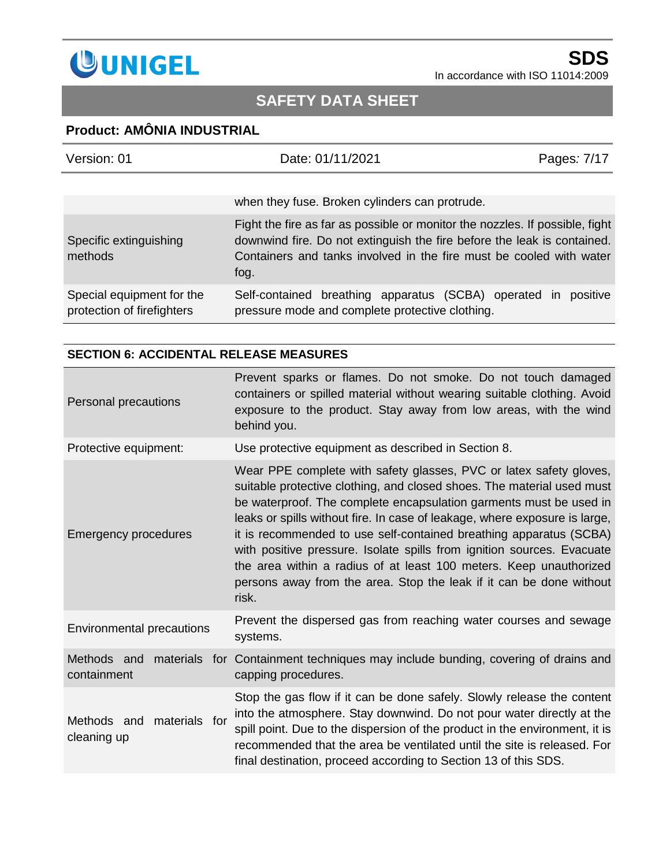

## **Product: AMÔNIA INDUSTRIAL**

| Version: 01                                             | Date: 01/11/2021                                                                                                                                                                                                                       | Pages: 7/17 |
|---------------------------------------------------------|----------------------------------------------------------------------------------------------------------------------------------------------------------------------------------------------------------------------------------------|-------------|
|                                                         | when they fuse. Broken cylinders can protrude.                                                                                                                                                                                         |             |
| Specific extinguishing<br>methods                       | Fight the fire as far as possible or monitor the nozzles. If possible, fight<br>downwind fire. Do not extinguish the fire before the leak is contained.<br>Containers and tanks involved in the fire must be cooled with water<br>fog. |             |
| Special equipment for the<br>protection of firefighters | Self-contained breathing apparatus (SCBA) operated in<br>pressure mode and complete protective clothing.                                                                                                                               | positive    |

#### **SECTION 6: ACCIDENTAL RELEASE MEASURES**

| Personal precautions                        | Prevent sparks or flames. Do not smoke. Do not touch damaged<br>containers or spilled material without wearing suitable clothing. Avoid<br>exposure to the product. Stay away from low areas, with the wind<br>behind you.                                                                                                                                                                                                                                                                                                                                                                             |  |
|---------------------------------------------|--------------------------------------------------------------------------------------------------------------------------------------------------------------------------------------------------------------------------------------------------------------------------------------------------------------------------------------------------------------------------------------------------------------------------------------------------------------------------------------------------------------------------------------------------------------------------------------------------------|--|
| Protective equipment:                       | Use protective equipment as described in Section 8.                                                                                                                                                                                                                                                                                                                                                                                                                                                                                                                                                    |  |
| <b>Emergency procedures</b>                 | Wear PPE complete with safety glasses, PVC or latex safety gloves,<br>suitable protective clothing, and closed shoes. The material used must<br>be waterproof. The complete encapsulation garments must be used in<br>leaks or spills without fire. In case of leakage, where exposure is large,<br>it is recommended to use self-contained breathing apparatus (SCBA)<br>with positive pressure. Isolate spills from ignition sources. Evacuate<br>the area within a radius of at least 100 meters. Keep unauthorized<br>persons away from the area. Stop the leak if it can be done without<br>risk. |  |
| <b>Environmental precautions</b>            | Prevent the dispersed gas from reaching water courses and sewage<br>systems.                                                                                                                                                                                                                                                                                                                                                                                                                                                                                                                           |  |
| Methods and<br>containment                  | materials for Containment techniques may include bunding, covering of drains and<br>capping procedures.                                                                                                                                                                                                                                                                                                                                                                                                                                                                                                |  |
| Methods and<br>materials for<br>cleaning up | Stop the gas flow if it can be done safely. Slowly release the content<br>into the atmosphere. Stay downwind. Do not pour water directly at the<br>spill point. Due to the dispersion of the product in the environment, it is<br>recommended that the area be ventilated until the site is released. For<br>final destination, proceed according to Section 13 of this SDS.                                                                                                                                                                                                                           |  |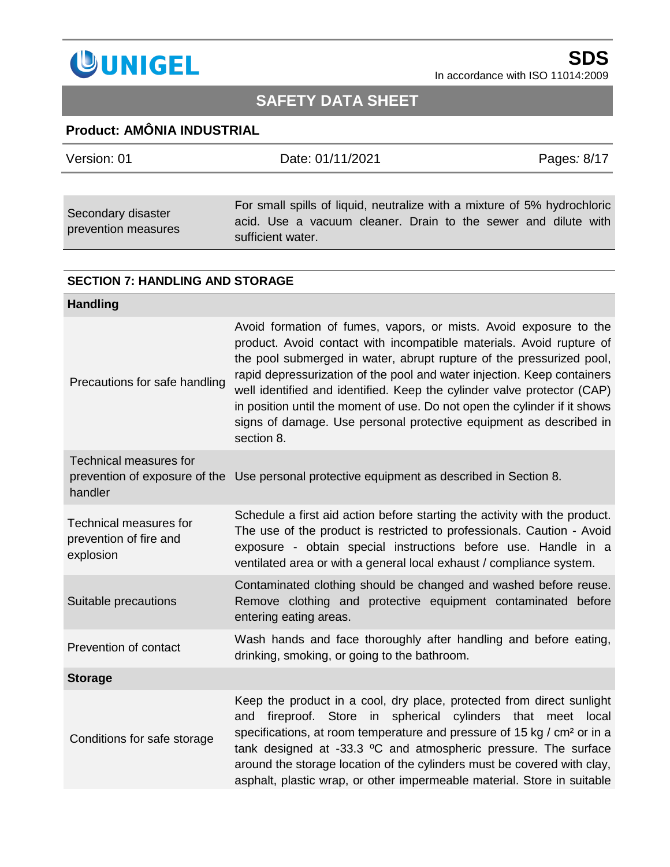

# **SAFETY DATA SHEET**

### **Product: AMÔNIA INDUSTRIAL**

| Version: 01                               | Date: 01/11/2021                                                                                                                                                | Pages: 8/17 |
|-------------------------------------------|-----------------------------------------------------------------------------------------------------------------------------------------------------------------|-------------|
|                                           |                                                                                                                                                                 |             |
| Secondary disaster<br>prevention measures | For small spills of liquid, neutralize with a mixture of 5% hydrochloric<br>acid. Use a vacuum cleaner. Drain to the sewer and dilute with<br>sufficient water. |             |

#### **SECTION 7: HANDLING AND STORAGE**

| <b>Handling</b>                                               |                                                                                                                                                                                                                                                                                                                                                                                                                                                                                                                                          |
|---------------------------------------------------------------|------------------------------------------------------------------------------------------------------------------------------------------------------------------------------------------------------------------------------------------------------------------------------------------------------------------------------------------------------------------------------------------------------------------------------------------------------------------------------------------------------------------------------------------|
| Precautions for safe handling                                 | Avoid formation of fumes, vapors, or mists. Avoid exposure to the<br>product. Avoid contact with incompatible materials. Avoid rupture of<br>the pool submerged in water, abrupt rupture of the pressurized pool,<br>rapid depressurization of the pool and water injection. Keep containers<br>well identified and identified. Keep the cylinder valve protector (CAP)<br>in position until the moment of use. Do not open the cylinder if it shows<br>signs of damage. Use personal protective equipment as described in<br>section 8. |
| <b>Technical measures for</b><br>handler                      | prevention of exposure of the Use personal protective equipment as described in Section 8.                                                                                                                                                                                                                                                                                                                                                                                                                                               |
| Technical measures for<br>prevention of fire and<br>explosion | Schedule a first aid action before starting the activity with the product.<br>The use of the product is restricted to professionals. Caution - Avoid<br>exposure - obtain special instructions before use. Handle in a<br>ventilated area or with a general local exhaust / compliance system.                                                                                                                                                                                                                                           |
| Suitable precautions                                          | Contaminated clothing should be changed and washed before reuse.<br>Remove clothing and protective equipment contaminated before<br>entering eating areas.                                                                                                                                                                                                                                                                                                                                                                               |
| Prevention of contact                                         | Wash hands and face thoroughly after handling and before eating,<br>drinking, smoking, or going to the bathroom.                                                                                                                                                                                                                                                                                                                                                                                                                         |
| <b>Storage</b>                                                |                                                                                                                                                                                                                                                                                                                                                                                                                                                                                                                                          |
| Conditions for safe storage                                   | Keep the product in a cool, dry place, protected from direct sunlight<br>fireproof. Store in spherical cylinders that meet local<br>and<br>specifications, at room temperature and pressure of 15 kg / cm <sup>2</sup> or in a<br>tank designed at -33.3 °C and atmospheric pressure. The surface<br>around the storage location of the cylinders must be covered with clay,<br>asphalt, plastic wrap, or other impermeable material. Store in suitable                                                                                  |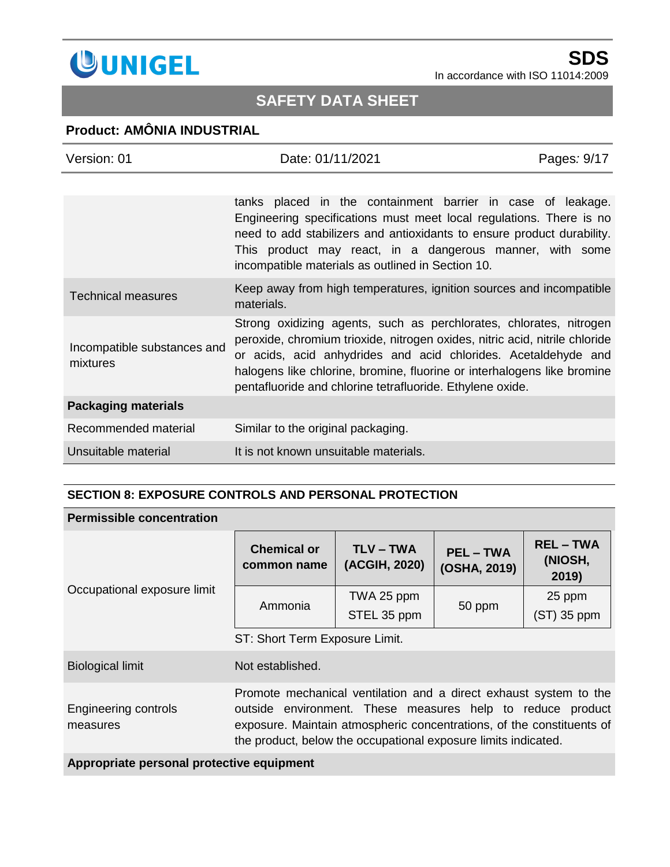

# **SAFETY DATA SHEET**

### **Product: AMÔNIA INDUSTRIAL**

| Version: 01                             | Date: 01/11/2021                                                                                                                                                                                                                                                                                                                                            | Pages: 9/17 |
|-----------------------------------------|-------------------------------------------------------------------------------------------------------------------------------------------------------------------------------------------------------------------------------------------------------------------------------------------------------------------------------------------------------------|-------------|
|                                         |                                                                                                                                                                                                                                                                                                                                                             |             |
|                                         | tanks placed in the containment barrier in case of leakage.<br>Engineering specifications must meet local regulations. There is no<br>need to add stabilizers and antioxidants to ensure product durability.<br>This product may react, in a dangerous manner, with some<br>incompatible materials as outlined in Section 10.                               |             |
| <b>Technical measures</b>               | Keep away from high temperatures, ignition sources and incompatible<br>materials.                                                                                                                                                                                                                                                                           |             |
| Incompatible substances and<br>mixtures | Strong oxidizing agents, such as perchlorates, chlorates, nitrogen<br>peroxide, chromium trioxide, nitrogen oxides, nitric acid, nitrile chloride<br>or acids, acid anhydrides and acid chlorides. Acetaldehyde and<br>halogens like chlorine, bromine, fluorine or interhalogens like bromine<br>pentafluoride and chlorine tetrafluoride. Ethylene oxide. |             |
| <b>Packaging materials</b>              |                                                                                                                                                                                                                                                                                                                                                             |             |
| Recommended material                    | Similar to the original packaging.                                                                                                                                                                                                                                                                                                                          |             |
| Unsuitable material                     | It is not known unsuitable materials.                                                                                                                                                                                                                                                                                                                       |             |

#### **SECTION 8: EXPOSURE CONTROLS AND PERSONAL PROTECTION**

#### **Permissible concentration**

| Occupational exposure limit      | <b>Chemical or</b><br>common name                                                                                                                                                                                                                                          | <b>TLV-TWA</b><br>(ACGIH, 2020) | <b>PEL-TWA</b><br>(OSHA, 2019) | <b>REL-TWA</b><br>(NIOSH,<br>2019) |
|----------------------------------|----------------------------------------------------------------------------------------------------------------------------------------------------------------------------------------------------------------------------------------------------------------------------|---------------------------------|--------------------------------|------------------------------------|
|                                  | Ammonia                                                                                                                                                                                                                                                                    | TWA 25 ppm<br>STEL 35 ppm       | 50 ppm                         | 25 ppm<br>$(ST)$ 35 ppm            |
|                                  | ST: Short Term Exposure Limit.                                                                                                                                                                                                                                             |                                 |                                |                                    |
| <b>Biological limit</b>          | Not established.                                                                                                                                                                                                                                                           |                                 |                                |                                    |
| Engineering controls<br>measures | Promote mechanical ventilation and a direct exhaust system to the<br>outside environment. These measures help to reduce product<br>exposure. Maintain atmospheric concentrations, of the constituents of<br>the product, below the occupational exposure limits indicated. |                                 |                                |                                    |

**Appropriate personal protective equipment**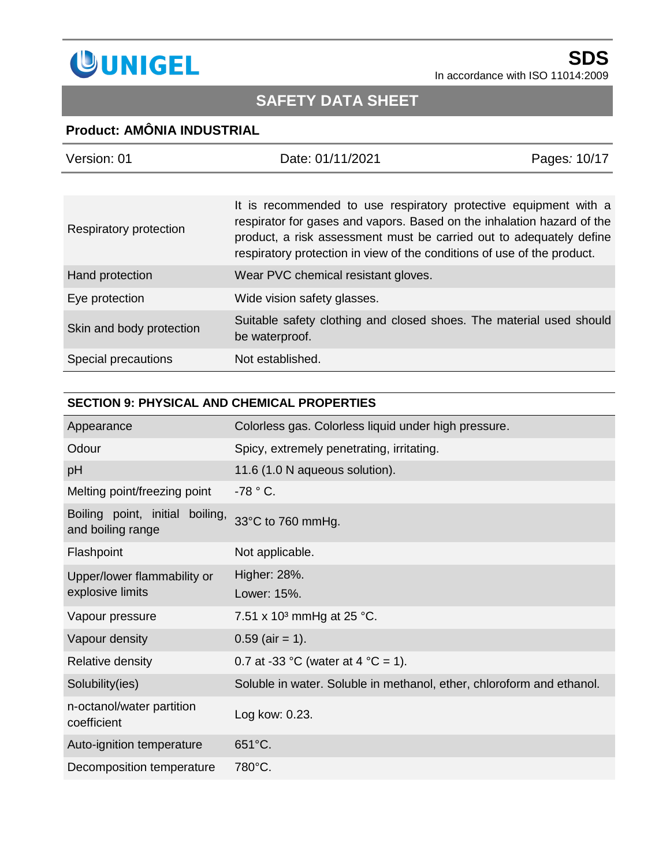

# **SAFETY DATA SHEET**

### **Product: AMÔNIA INDUSTRIAL**

| Version: 01              | Date: 01/11/2021                                                                                                                                                                                                                                                                             | Pages: 10/17 |
|--------------------------|----------------------------------------------------------------------------------------------------------------------------------------------------------------------------------------------------------------------------------------------------------------------------------------------|--------------|
|                          |                                                                                                                                                                                                                                                                                              |              |
| Respiratory protection   | It is recommended to use respiratory protective equipment with a<br>respirator for gases and vapors. Based on the inhalation hazard of the<br>product, a risk assessment must be carried out to adequately define<br>respiratory protection in view of the conditions of use of the product. |              |
| Hand protection          | Wear PVC chemical resistant gloves.                                                                                                                                                                                                                                                          |              |
| Eye protection           | Wide vision safety glasses.                                                                                                                                                                                                                                                                  |              |
| Skin and body protection | Suitable safety clothing and closed shoes. The material used should<br>be waterproof.                                                                                                                                                                                                        |              |
| Special precautions      | Not established.                                                                                                                                                                                                                                                                             |              |

#### **SECTION 9: PHYSICAL AND CHEMICAL PROPERTIES**

| Appearance                                              | Colorless gas. Colorless liquid under high pressure.                  |
|---------------------------------------------------------|-----------------------------------------------------------------------|
| Odour                                                   | Spicy, extremely penetrating, irritating.                             |
| pH                                                      | 11.6 (1.0 N aqueous solution).                                        |
| Melting point/freezing point                            | $-78 °C$ .                                                            |
| Boiling point, initial<br>boiling,<br>and boiling range | 33°C to 760 mmHg.                                                     |
| Flashpoint                                              | Not applicable.                                                       |
| Upper/lower flammability or<br>explosive limits         | Higher: 28%.<br>Lower: 15%.                                           |
| Vapour pressure                                         | 7.51 x 10 <sup>3</sup> mmHg at 25 °C.                                 |
| Vapour density                                          | $0.59$ (air = 1).                                                     |
| Relative density                                        | 0.7 at -33 °C (water at 4 °C = 1).                                    |
| Solubility(ies)                                         | Soluble in water. Soluble in methanol, ether, chloroform and ethanol. |
| n-octanol/water partition<br>coefficient                | Log kow: 0.23.                                                        |
| Auto-ignition temperature                               | 651°C.                                                                |
| Decomposition temperature                               | 780°C.                                                                |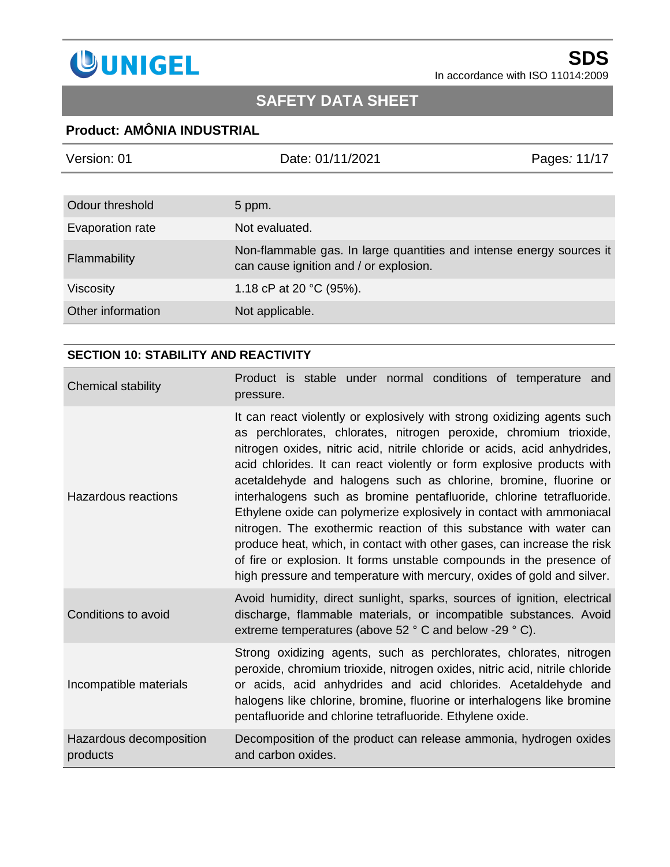

# **SAFETY DATA SHEET**

### **Product: AMÔNIA INDUSTRIAL**

| Version: 01       | Date: 01/11/2021                                                                                               | Pages: 11/17 |
|-------------------|----------------------------------------------------------------------------------------------------------------|--------------|
|                   |                                                                                                                |              |
| Odour threshold   | 5 ppm.                                                                                                         |              |
| Evaporation rate  | Not evaluated.                                                                                                 |              |
| Flammability      | Non-flammable gas. In large quantities and intense energy sources it<br>can cause ignition and / or explosion. |              |
| Viscosity         | 1.18 cP at 20 $^{\circ}$ C (95%).                                                                              |              |
| Other information | Not applicable.                                                                                                |              |

### **SECTION 10: STABILITY AND REACTIVITY**

| Chemical stability                  | Product is stable under normal conditions of temperature and<br>pressure.                                                                                                                                                                                                                                                                                                                                                                                                                                                                                                                                                                                                                                                                                                                                                  |
|-------------------------------------|----------------------------------------------------------------------------------------------------------------------------------------------------------------------------------------------------------------------------------------------------------------------------------------------------------------------------------------------------------------------------------------------------------------------------------------------------------------------------------------------------------------------------------------------------------------------------------------------------------------------------------------------------------------------------------------------------------------------------------------------------------------------------------------------------------------------------|
| Hazardous reactions                 | It can react violently or explosively with strong oxidizing agents such<br>as perchlorates, chlorates, nitrogen peroxide, chromium trioxide,<br>nitrogen oxides, nitric acid, nitrile chloride or acids, acid anhydrides,<br>acid chlorides. It can react violently or form explosive products with<br>acetaldehyde and halogens such as chlorine, bromine, fluorine or<br>interhalogens such as bromine pentafluoride, chlorine tetrafluoride.<br>Ethylene oxide can polymerize explosively in contact with ammoniacal<br>nitrogen. The exothermic reaction of this substance with water can<br>produce heat, which, in contact with other gases, can increase the risk<br>of fire or explosion. It forms unstable compounds in the presence of<br>high pressure and temperature with mercury, oxides of gold and silver. |
| Conditions to avoid                 | Avoid humidity, direct sunlight, sparks, sources of ignition, electrical<br>discharge, flammable materials, or incompatible substances. Avoid<br>extreme temperatures (above 52 ° C and below -29 ° C).                                                                                                                                                                                                                                                                                                                                                                                                                                                                                                                                                                                                                    |
| Incompatible materials              | Strong oxidizing agents, such as perchlorates, chlorates, nitrogen<br>peroxide, chromium trioxide, nitrogen oxides, nitric acid, nitrile chloride<br>or acids, acid anhydrides and acid chlorides. Acetaldehyde and<br>halogens like chlorine, bromine, fluorine or interhalogens like bromine<br>pentafluoride and chlorine tetrafluoride. Ethylene oxide.                                                                                                                                                                                                                                                                                                                                                                                                                                                                |
| Hazardous decomposition<br>products | Decomposition of the product can release ammonia, hydrogen oxides<br>and carbon oxides.                                                                                                                                                                                                                                                                                                                                                                                                                                                                                                                                                                                                                                                                                                                                    |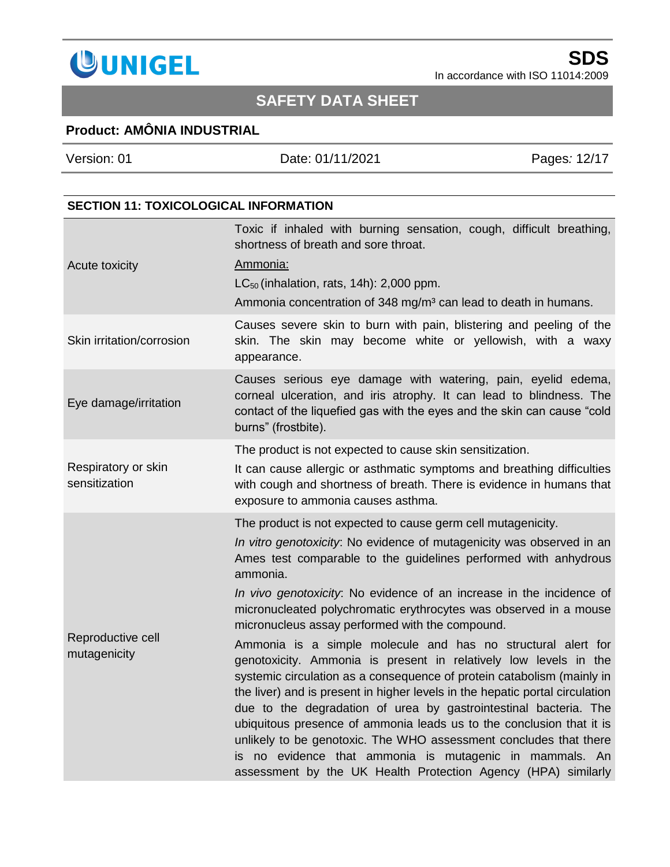

## **SAFETY DATA SHEET**

## **Product: AMÔNIA INDUSTRIAL**

Version: 01 Date: 01/11/2021 Pages*:* 12/17 **SECTION 11: TOXICOLOGICAL INFORMATION** Toxic if inhaled with burning sensation, cough, difficult breathing,

| Acute toxicity                       | shortness of breath and sore throat.<br>Ammonia:<br>$LC_{50}$ (inhalation, rats, 14h): 2,000 ppm.<br>Ammonia concentration of 348 mg/m <sup>3</sup> can lead to death in humans.                                                                                                                                                                                                                                                                                                                                                                                                                                                                                                                                                                                                                                                                                                                                                                                                                                                                                |  |
|--------------------------------------|-----------------------------------------------------------------------------------------------------------------------------------------------------------------------------------------------------------------------------------------------------------------------------------------------------------------------------------------------------------------------------------------------------------------------------------------------------------------------------------------------------------------------------------------------------------------------------------------------------------------------------------------------------------------------------------------------------------------------------------------------------------------------------------------------------------------------------------------------------------------------------------------------------------------------------------------------------------------------------------------------------------------------------------------------------------------|--|
| Skin irritation/corrosion            | Causes severe skin to burn with pain, blistering and peeling of the<br>skin. The skin may become white or yellowish, with a waxy<br>appearance.                                                                                                                                                                                                                                                                                                                                                                                                                                                                                                                                                                                                                                                                                                                                                                                                                                                                                                                 |  |
| Eye damage/irritation                | Causes serious eye damage with watering, pain, eyelid edema,<br>corneal ulceration, and iris atrophy. It can lead to blindness. The<br>contact of the liquefied gas with the eyes and the skin can cause "cold<br>burns" (frostbite).                                                                                                                                                                                                                                                                                                                                                                                                                                                                                                                                                                                                                                                                                                                                                                                                                           |  |
| Respiratory or skin<br>sensitization | The product is not expected to cause skin sensitization.<br>It can cause allergic or asthmatic symptoms and breathing difficulties<br>with cough and shortness of breath. There is evidence in humans that<br>exposure to ammonia causes asthma.                                                                                                                                                                                                                                                                                                                                                                                                                                                                                                                                                                                                                                                                                                                                                                                                                |  |
| Reproductive cell<br>mutagenicity    | The product is not expected to cause germ cell mutagenicity.<br>In vitro genotoxicity. No evidence of mutagenicity was observed in an<br>Ames test comparable to the guidelines performed with anhydrous<br>ammonia.<br>In vivo genotoxicity. No evidence of an increase in the incidence of<br>micronucleated polychromatic erythrocytes was observed in a mouse<br>micronucleus assay performed with the compound.<br>Ammonia is a simple molecule and has no structural alert for<br>genotoxicity. Ammonia is present in relatively low levels in the<br>systemic circulation as a consequence of protein catabolism (mainly in<br>the liver) and is present in higher levels in the hepatic portal circulation<br>due to the degradation of urea by gastrointestinal bacteria. The<br>ubiquitous presence of ammonia leads us to the conclusion that it is<br>unlikely to be genotoxic. The WHO assessment concludes that there<br>is no evidence that ammonia is mutagenic in mammals. An<br>assessment by the UK Health Protection Agency (HPA) similarly |  |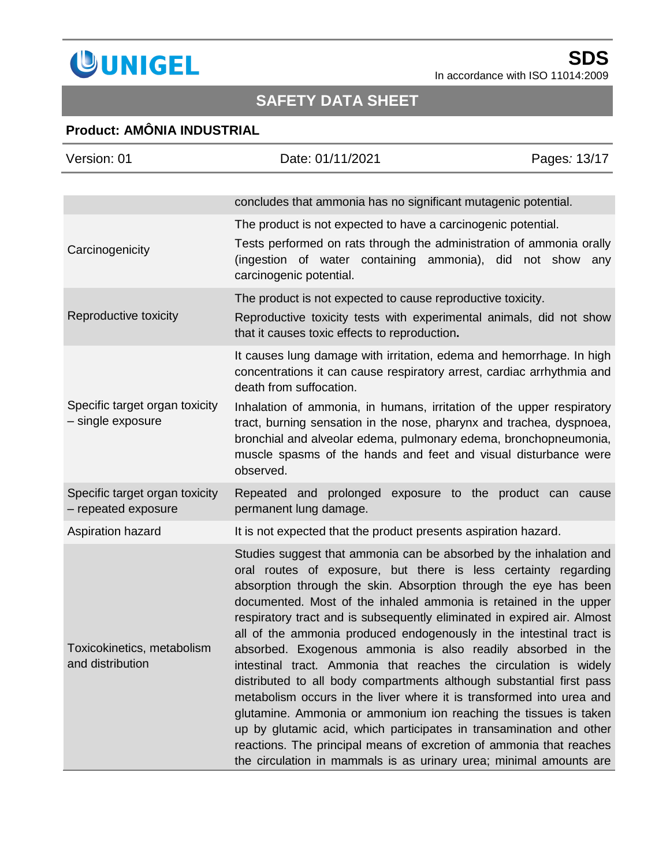

# **SAFETY DATA SHEET**

### **Product: AMÔNIA INDUSTRIAL**

| Version: 01                                           | Date: 01/11/2021                                                                                                                                                                                                                                                                                                                                                                                                                                                                                                                                                                                                                                                                                                                                                                                                                                                                                                                                                                                          | Pages: 13/17 |
|-------------------------------------------------------|-----------------------------------------------------------------------------------------------------------------------------------------------------------------------------------------------------------------------------------------------------------------------------------------------------------------------------------------------------------------------------------------------------------------------------------------------------------------------------------------------------------------------------------------------------------------------------------------------------------------------------------------------------------------------------------------------------------------------------------------------------------------------------------------------------------------------------------------------------------------------------------------------------------------------------------------------------------------------------------------------------------|--------------|
|                                                       | concludes that ammonia has no significant mutagenic potential.                                                                                                                                                                                                                                                                                                                                                                                                                                                                                                                                                                                                                                                                                                                                                                                                                                                                                                                                            |              |
| Carcinogenicity                                       | The product is not expected to have a carcinogenic potential.<br>Tests performed on rats through the administration of ammonia orally<br>(ingestion of water containing ammonia), did not show any<br>carcinogenic potential.                                                                                                                                                                                                                                                                                                                                                                                                                                                                                                                                                                                                                                                                                                                                                                             |              |
| Reproductive toxicity                                 | The product is not expected to cause reproductive toxicity.<br>Reproductive toxicity tests with experimental animals, did not show<br>that it causes toxic effects to reproduction.                                                                                                                                                                                                                                                                                                                                                                                                                                                                                                                                                                                                                                                                                                                                                                                                                       |              |
|                                                       | It causes lung damage with irritation, edema and hemorrhage. In high<br>concentrations it can cause respiratory arrest, cardiac arrhythmia and<br>death from suffocation.                                                                                                                                                                                                                                                                                                                                                                                                                                                                                                                                                                                                                                                                                                                                                                                                                                 |              |
| Specific target organ toxicity<br>- single exposure   | Inhalation of ammonia, in humans, irritation of the upper respiratory<br>tract, burning sensation in the nose, pharynx and trachea, dyspnoea,<br>bronchial and alveolar edema, pulmonary edema, bronchopneumonia,<br>muscle spasms of the hands and feet and visual disturbance were<br>observed.                                                                                                                                                                                                                                                                                                                                                                                                                                                                                                                                                                                                                                                                                                         |              |
| Specific target organ toxicity<br>- repeated exposure | Repeated and prolonged exposure to the product can cause<br>permanent lung damage.                                                                                                                                                                                                                                                                                                                                                                                                                                                                                                                                                                                                                                                                                                                                                                                                                                                                                                                        |              |
| Aspiration hazard                                     | It is not expected that the product presents aspiration hazard.                                                                                                                                                                                                                                                                                                                                                                                                                                                                                                                                                                                                                                                                                                                                                                                                                                                                                                                                           |              |
| Toxicokinetics, metabolism<br>and distribution        | Studies suggest that ammonia can be absorbed by the inhalation and<br>oral routes of exposure, but there is less certainty regarding<br>absorption through the skin. Absorption through the eye has been<br>documented. Most of the inhaled ammonia is retained in the upper<br>respiratory tract and is subsequently eliminated in expired air. Almost<br>all of the ammonia produced endogenously in the intestinal tract is<br>absorbed. Exogenous ammonia is also readily absorbed in the<br>intestinal tract. Ammonia that reaches the circulation is widely<br>distributed to all body compartments although substantial first pass<br>metabolism occurs in the liver where it is transformed into urea and<br>glutamine. Ammonia or ammonium ion reaching the tissues is taken<br>up by glutamic acid, which participates in transamination and other<br>reactions. The principal means of excretion of ammonia that reaches<br>the circulation in mammals is as urinary urea; minimal amounts are |              |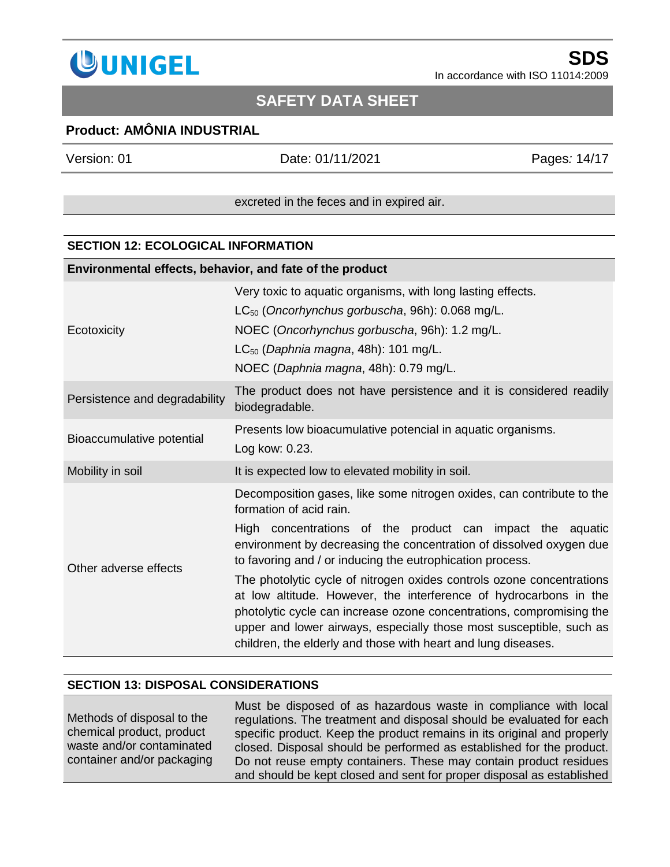

### **Product: AMÔNIA INDUSTRIAL**

Version: 01 Date: 01/11/2021 Pages*:* 14/17

excreted in the feces and in expired air.

#### **SECTION 12: ECOLOGICAL INFORMATION**

| Environmental effects, behavior, and fate of the product |                                                                                                                                                                                                                                                                                                                                                                                                                                                                                                                                                                                                                                                                 |  |  |
|----------------------------------------------------------|-----------------------------------------------------------------------------------------------------------------------------------------------------------------------------------------------------------------------------------------------------------------------------------------------------------------------------------------------------------------------------------------------------------------------------------------------------------------------------------------------------------------------------------------------------------------------------------------------------------------------------------------------------------------|--|--|
| Ecotoxicity                                              | Very toxic to aquatic organisms, with long lasting effects.<br>$LC_{50}$ (Oncorhynchus gorbuscha, 96h): 0.068 mg/L.<br>NOEC (Oncorhynchus gorbuscha, 96h): 1.2 mg/L.<br>$LC_{50}$ (Daphnia magna, 48h): 101 mg/L.<br>NOEC (Daphnia magna, 48h): 0.79 mg/L.                                                                                                                                                                                                                                                                                                                                                                                                      |  |  |
| Persistence and degradability                            | The product does not have persistence and it is considered readily<br>biodegradable.                                                                                                                                                                                                                                                                                                                                                                                                                                                                                                                                                                            |  |  |
| Bioaccumulative potential                                | Presents low bioacumulative potencial in aquatic organisms.<br>Log kow: 0.23.                                                                                                                                                                                                                                                                                                                                                                                                                                                                                                                                                                                   |  |  |
| Mobility in soil                                         | It is expected low to elevated mobility in soil.                                                                                                                                                                                                                                                                                                                                                                                                                                                                                                                                                                                                                |  |  |
| Other adverse effects                                    | Decomposition gases, like some nitrogen oxides, can contribute to the<br>formation of acid rain.<br>High concentrations of the product can impact the aquatic<br>environment by decreasing the concentration of dissolved oxygen due<br>to favoring and / or inducing the eutrophication process.<br>The photolytic cycle of nitrogen oxides controls ozone concentrations<br>at low altitude. However, the interference of hydrocarbons in the<br>photolytic cycle can increase ozone concentrations, compromising the<br>upper and lower airways, especially those most susceptible, such as<br>children, the elderly and those with heart and lung diseases. |  |  |

#### **SECTION 13: DISPOSAL CONSIDERATIONS**

Methods of disposal to the chemical product, product waste and/or contaminated container and/or packaging Must be disposed of as hazardous waste in compliance with local regulations. The treatment and disposal should be evaluated for each specific product. Keep the product remains in its original and properly closed. Disposal should be performed as established for the product. Do not reuse empty containers. These may contain product residues and should be kept closed and sent for proper disposal as established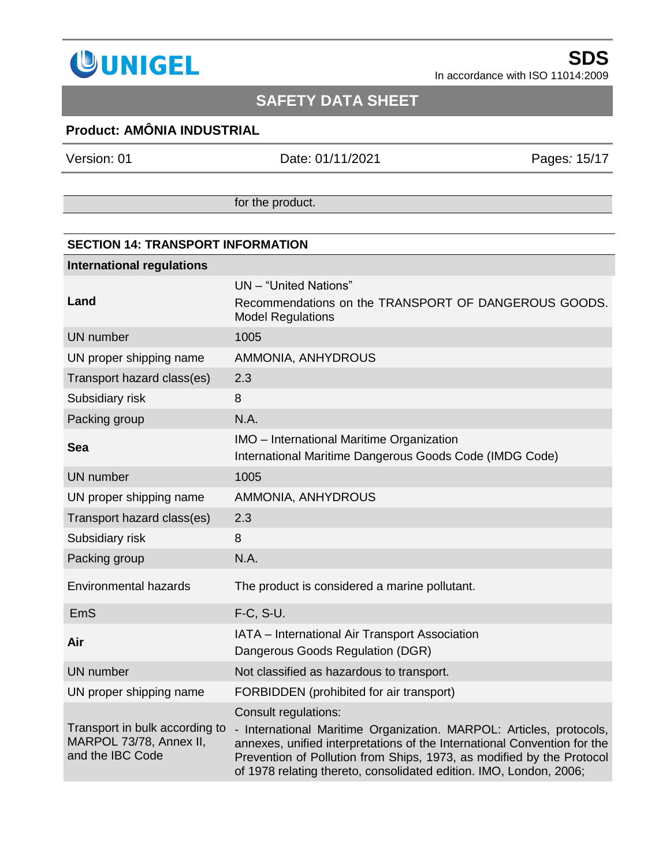

## **SAFETY DATA SHEET**

## **Product: AMÔNIA INDUSTRIAL**

Version: 01 Date: 01/11/2021 Pages*:* 15/17

for the product.

| <b>SECTION 14: TRANSPORT INFORMATION</b>                                      |                                                                                                                                                                                                                                                                                                                        |  |  |  |
|-------------------------------------------------------------------------------|------------------------------------------------------------------------------------------------------------------------------------------------------------------------------------------------------------------------------------------------------------------------------------------------------------------------|--|--|--|
| <b>International regulations</b>                                              |                                                                                                                                                                                                                                                                                                                        |  |  |  |
| Land                                                                          | UN - "United Nations"<br>Recommendations on the TRANSPORT OF DANGEROUS GOODS.<br><b>Model Regulations</b>                                                                                                                                                                                                              |  |  |  |
| <b>UN</b> number                                                              | 1005                                                                                                                                                                                                                                                                                                                   |  |  |  |
| UN proper shipping name                                                       | AMMONIA, ANHYDROUS                                                                                                                                                                                                                                                                                                     |  |  |  |
| Transport hazard class(es)                                                    | 2.3                                                                                                                                                                                                                                                                                                                    |  |  |  |
| Subsidiary risk                                                               | 8                                                                                                                                                                                                                                                                                                                      |  |  |  |
| Packing group                                                                 | N.A.                                                                                                                                                                                                                                                                                                                   |  |  |  |
| Sea                                                                           | IMO - International Maritime Organization<br>International Maritime Dangerous Goods Code (IMDG Code)                                                                                                                                                                                                                   |  |  |  |
| <b>UN</b> number                                                              | 1005                                                                                                                                                                                                                                                                                                                   |  |  |  |
| UN proper shipping name                                                       | AMMONIA, ANHYDROUS                                                                                                                                                                                                                                                                                                     |  |  |  |
| Transport hazard class(es)                                                    | 2.3                                                                                                                                                                                                                                                                                                                    |  |  |  |
| Subsidiary risk                                                               | 8                                                                                                                                                                                                                                                                                                                      |  |  |  |
| Packing group                                                                 | N.A.                                                                                                                                                                                                                                                                                                                   |  |  |  |
| <b>Environmental hazards</b>                                                  | The product is considered a marine pollutant.                                                                                                                                                                                                                                                                          |  |  |  |
| EmS                                                                           | F-C, S-U.                                                                                                                                                                                                                                                                                                              |  |  |  |
| Air                                                                           | IATA - International Air Transport Association<br>Dangerous Goods Regulation (DGR)                                                                                                                                                                                                                                     |  |  |  |
| <b>UN</b> number                                                              | Not classified as hazardous to transport.                                                                                                                                                                                                                                                                              |  |  |  |
| UN proper shipping name                                                       | FORBIDDEN (prohibited for air transport)                                                                                                                                                                                                                                                                               |  |  |  |
| Transport in bulk according to<br>MARPOL 73/78, Annex II,<br>and the IBC Code | Consult regulations:<br>- International Maritime Organization. MARPOL: Articles, protocols,<br>annexes, unified interpretations of the International Convention for the<br>Prevention of Pollution from Ships, 1973, as modified by the Protocol<br>of 1978 relating thereto, consolidated edition. IMO, London, 2006; |  |  |  |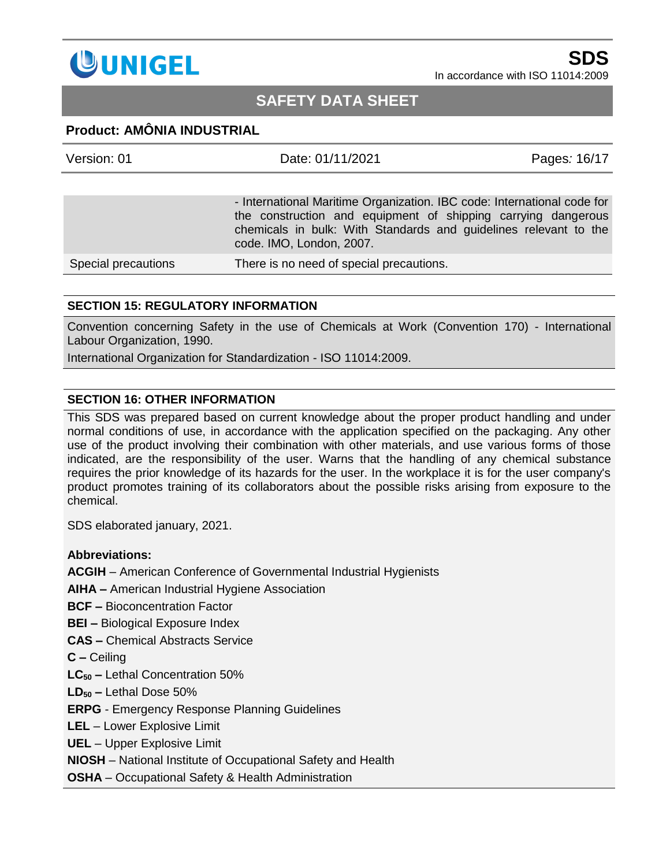

## **SAFETY DATA SHEET**

#### **Product: AMÔNIA INDUSTRIAL**

| Version: 01         | Date: 01/11/2021                                                                                                                                                                                                                         | Pages: 16/17 |
|---------------------|------------------------------------------------------------------------------------------------------------------------------------------------------------------------------------------------------------------------------------------|--------------|
|                     |                                                                                                                                                                                                                                          |              |
|                     | - International Maritime Organization. IBC code: International code for<br>the construction and equipment of shipping carrying dangerous<br>chemicals in bulk: With Standards and guidelines relevant to the<br>code. IMO, London, 2007. |              |
| Special precautions | There is no need of special precautions.                                                                                                                                                                                                 |              |

#### **SECTION 15: REGULATORY INFORMATION**

Convention concerning Safety in the use of Chemicals at Work (Convention 170) - International Labour Organization, 1990.

International Organization for Standardization - ISO 11014:2009.

#### **SECTION 16: OTHER INFORMATION**

This SDS was prepared based on current knowledge about the proper product handling and under normal conditions of use, in accordance with the application specified on the packaging. Any other use of the product involving their combination with other materials, and use various forms of those indicated, are the responsibility of the user. Warns that the handling of any chemical substance requires the prior knowledge of its hazards for the user. In the workplace it is for the user company's product promotes training of its collaborators about the possible risks arising from exposure to the chemical.

SDS elaborated january, 2021.

#### **Abbreviations:**

**ACGIH** – American Conference of Governmental Industrial Hygienists

**AIHA –** American Industrial Hygiene Association

**BCF –** Bioconcentration Factor

**BEI –** Biological Exposure Index

**CAS –** Chemical Abstracts Service

**C –** Ceiling

**LC<sup>50</sup> –** Lethal Concentration 50%

**LD<sup>50</sup> –** Lethal Dose 50%

**ERPG** - Emergency Response Planning Guidelines

**LEL** – Lower Explosive Limit

**UEL** – Upper Explosive Limit

**NIOSH** – [National Institute of Occupational Safety and Health](http://www.niosh.com.my/)

**OSHA** – Occupational Safety & Health Administration